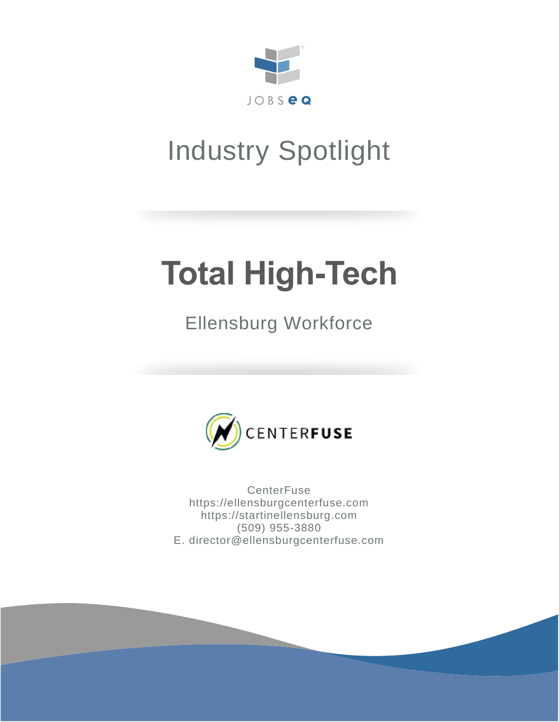

# Industry Spotlight

# **Total High-Tech**

# Ellensburg Workforce



**CenterFuse** https://ellensburgcenterfuse.com https://startinellensburg.com (509) 955-3880 E. director@ellensburgcenterfuse.com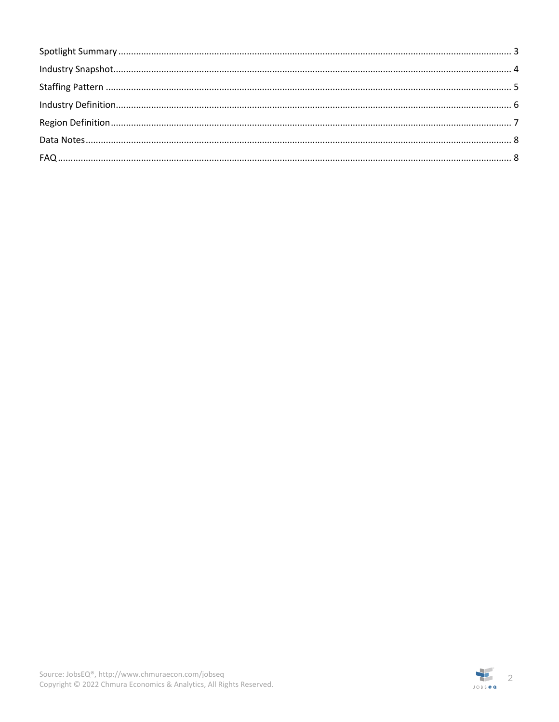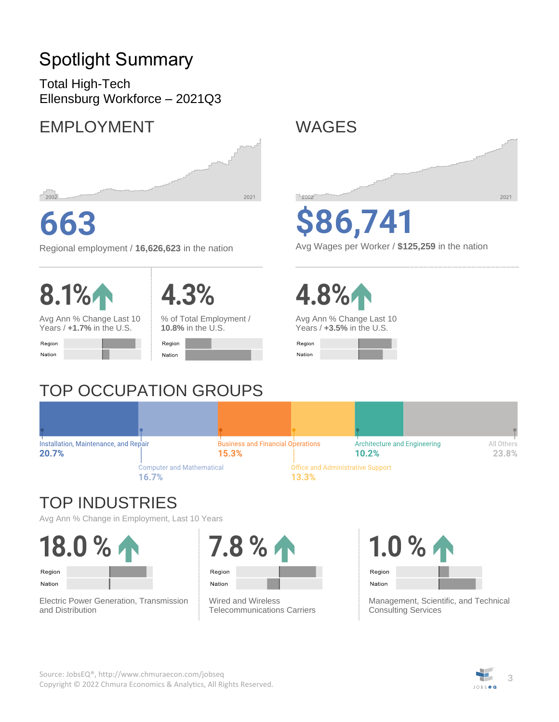# <span id="page-2-0"></span>Spotlight Summary

Total High-Tech Ellensburg Workforce – 2021Q3

## EMPLOYMENT



# **663**

Regional employment / **16,626,623** in the nation





Avg Ann % Change Last 10 Years / **+1.7%** in the U.S.

| Region |  |
|--------|--|
| Nation |  |



% of Total Employment / **10.8%** in the U.S.

| Region |  |
|--------|--|
| Nation |  |

# TOP OCCUPATION GROUPS



# **\$86,741**

Avg Wages per Worker / **\$125,259** in the nation



Avg Ann % Change Last 10 Years / **+3.5%** in the U.S.

| Region |  |  |
|--------|--|--|
| Nation |  |  |

#### Business and Financial Operations Installation, Maintenance, and Repair Architecture and Engineering All Others 20.7% 15.3% 23.8% 10.2% **Computer and Mathematical Office and Administrative Support** 16.7% 13.3%

## TOP INDUSTRIES

Avg Ann % Change in Employment, Last 10 Years

**18.0 %** Region Nation

Electric Power Generation, Transmission and Distribution



Wired and Wireless Telecommunications Carriers



Management, Scientific, and Technical Consulting Services

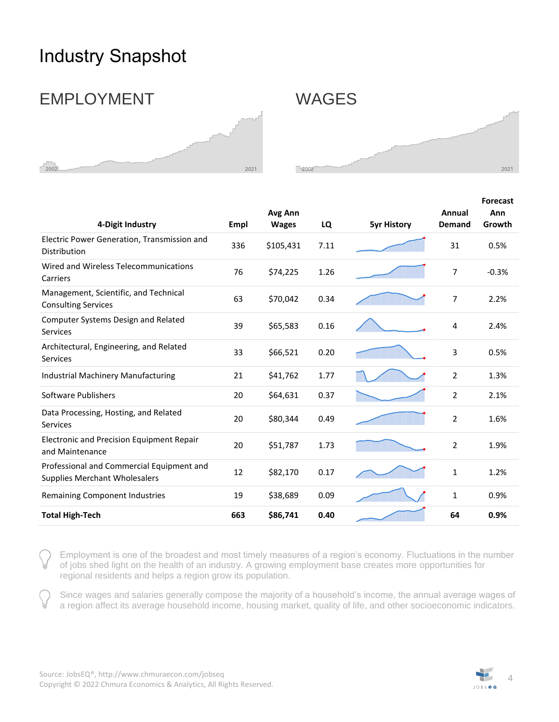## <span id="page-3-0"></span>Industry Snapshot

### EMPLOYMENT WAGES





| 4-Digit Industry                                                                  | Empl | Avg Ann<br><b>Wages</b> | LQ   | <b>5yr History</b> | Annual<br><b>Demand</b> | <b>Forecast</b><br>Ann<br>Growth |
|-----------------------------------------------------------------------------------|------|-------------------------|------|--------------------|-------------------------|----------------------------------|
| Electric Power Generation, Transmission and<br>Distribution                       | 336  | \$105,431               | 7.11 |                    | 31                      | 0.5%                             |
| Wired and Wireless Telecommunications<br>Carriers                                 | 76   | \$74,225                | 1.26 |                    | $\overline{7}$          | $-0.3%$                          |
| Management, Scientific, and Technical<br><b>Consulting Services</b>               | 63   | \$70,042                | 0.34 |                    | 7                       | 2.2%                             |
| Computer Systems Design and Related<br><b>Services</b>                            | 39   | \$65,583                | 0.16 |                    | 4                       | 2.4%                             |
| Architectural, Engineering, and Related<br><b>Services</b>                        | 33   | \$66,521                | 0.20 |                    | 3                       | 0.5%                             |
| <b>Industrial Machinery Manufacturing</b>                                         | 21   | \$41,762                | 1.77 |                    | $\overline{2}$          | 1.3%                             |
| Software Publishers                                                               | 20   | \$64,631                | 0.37 |                    | 2                       | 2.1%                             |
| Data Processing, Hosting, and Related<br>Services                                 | 20   | \$80,344                | 0.49 |                    | $\overline{2}$          | 1.6%                             |
| <b>Electronic and Precision Equipment Repair</b><br>and Maintenance               | 20   | \$51,787                | 1.73 |                    | $\overline{2}$          | 1.9%                             |
| Professional and Commercial Equipment and<br><b>Supplies Merchant Wholesalers</b> | 12   | \$82,170                | 0.17 |                    | $\mathbf{1}$            | 1.2%                             |
| Remaining Component Industries                                                    | 19   | \$38,689                | 0.09 |                    | $\mathbf{1}$            | 0.9%                             |
| <b>Total High-Tech</b>                                                            | 663  | \$86,741                | 0.40 |                    | 64                      | 0.9%                             |

Employment is one of the broadest and most timely measures of a region's economy. Fluctuations in the number of jobs shed light on the health of an industry. A growing employment base creates more opportunities for regional residents and helps a region grow its population.

Since wages and salaries generally compose the majority of a household's income, the annual average wages of a region affect its average household income, housing market, quality of life, and other socioeconomic indicators.

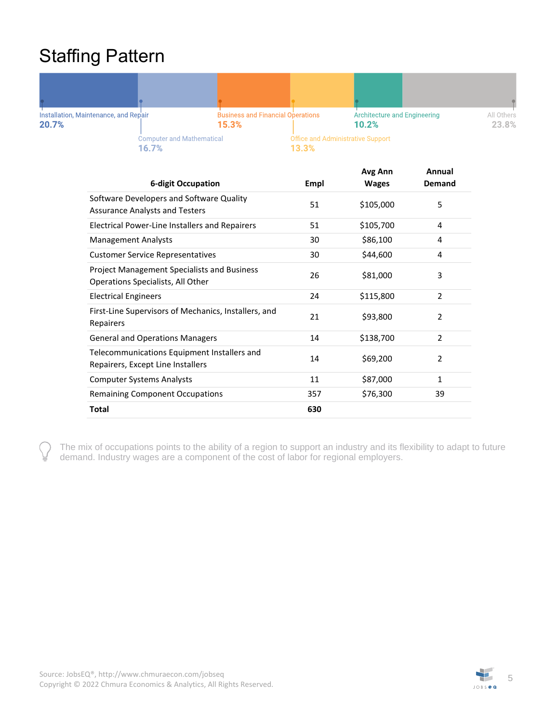## <span id="page-4-0"></span>Staffing Pattern



| <b>6-digit Occupation</b>                                                               | Empl | Avg Ann<br><b>Wages</b> | Annual<br>Demand |
|-----------------------------------------------------------------------------------------|------|-------------------------|------------------|
| Software Developers and Software Quality<br><b>Assurance Analysts and Testers</b>       | 51   | \$105,000               | 5                |
| <b>Electrical Power-Line Installers and Repairers</b>                                   | 51   | \$105,700               | 4                |
| <b>Management Analysts</b>                                                              | 30   | \$86,100                | 4                |
| <b>Customer Service Representatives</b>                                                 | 30   | \$44,600                | 4                |
| <b>Project Management Specialists and Business</b><br>Operations Specialists, All Other | 26   | \$81,000                | 3                |
| <b>Electrical Engineers</b>                                                             | 24   | \$115,800               | $\mathcal{P}$    |
| First-Line Supervisors of Mechanics, Installers, and<br>Repairers                       | 21   | \$93,800                | $\overline{2}$   |
| <b>General and Operations Managers</b>                                                  | 14   | \$138,700               | $\overline{2}$   |
| Telecommunications Equipment Installers and<br>Repairers, Except Line Installers        | 14   | \$69,200                | $\overline{2}$   |
| <b>Computer Systems Analysts</b>                                                        | 11   | \$87,000                | $\mathbf{1}$     |
| <b>Remaining Component Occupations</b>                                                  | 357  | \$76,300                | 39               |
| Total                                                                                   | 630  |                         |                  |

The mix of occupations points to the ability of a region to support an industry and its flexibility to adapt to future demand. Industry wages are a component of the cost of labor for regional employers.

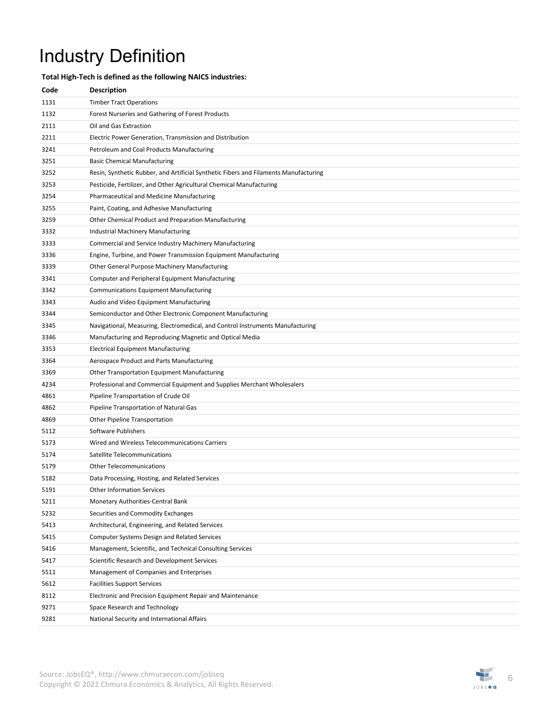# <span id="page-5-0"></span>Industry Definition

#### **Total High-Tech is defined as the following NAICS industries:**

| Code | <b>Description</b>                                                                   |
|------|--------------------------------------------------------------------------------------|
| 1131 | <b>Timber Tract Operations</b>                                                       |
| 1132 | Forest Nurseries and Gathering of Forest Products                                    |
| 2111 | Oil and Gas Extraction                                                               |
| 2211 | Electric Power Generation, Transmission and Distribution                             |
| 3241 | Petroleum and Coal Products Manufacturing                                            |
| 3251 | <b>Basic Chemical Manufacturing</b>                                                  |
| 3252 | Resin, Synthetic Rubber, and Artificial Synthetic Fibers and Filaments Manufacturing |
| 3253 | Pesticide, Fertilizer, and Other Agricultural Chemical Manufacturing                 |
| 3254 | Pharmaceutical and Medicine Manufacturing                                            |
| 3255 | Paint, Coating, and Adhesive Manufacturing                                           |
| 3259 | Other Chemical Product and Preparation Manufacturing                                 |
| 3332 | Industrial Machinery Manufacturing                                                   |
| 3333 | Commercial and Service Industry Machinery Manufacturing                              |
| 3336 | Engine, Turbine, and Power Transmission Equipment Manufacturing                      |
| 3339 | Other General Purpose Machinery Manufacturing                                        |
| 3341 | <b>Computer and Peripheral Equipment Manufacturing</b>                               |
| 3342 | <b>Communications Equipment Manufacturing</b>                                        |
| 3343 | Audio and Video Equipment Manufacturing                                              |
| 3344 | Semiconductor and Other Electronic Component Manufacturing                           |
| 3345 | Navigational, Measuring, Electromedical, and Control Instruments Manufacturing       |
| 3346 | Manufacturing and Reproducing Magnetic and Optical Media                             |
| 3353 | <b>Electrical Equipment Manufacturing</b>                                            |
| 3364 | Aerospace Product and Parts Manufacturing                                            |
| 3369 | Other Transportation Equipment Manufacturing                                         |
| 4234 | Professional and Commercial Equipment and Supplies Merchant Wholesalers              |
| 4861 | Pipeline Transportation of Crude Oil                                                 |
| 4862 | Pipeline Transportation of Natural Gas                                               |
| 4869 | <b>Other Pipeline Transportation</b>                                                 |
| 5112 | Software Publishers                                                                  |
| 5173 | Wired and Wireless Telecommunications Carriers                                       |
| 5174 | Satellite Telecommunications                                                         |
| 5179 | <b>Other Telecommunications</b>                                                      |
| 5182 | Data Processing, Hosting, and Related Services                                       |
| 5191 | <b>Other Information Services</b>                                                    |
| 5211 | Monetary Authorities-Central Bank                                                    |
| 5232 | Securities and Commodity Exchanges                                                   |
| 5413 | Architectural, Engineering, and Related Services                                     |
| 5415 | Computer Systems Design and Related Services                                         |
| 5416 | Management, Scientific, and Technical Consulting Services                            |
| 5417 | Scientific Research and Development Services                                         |
| 5511 | Management of Companies and Enterprises                                              |
| 5612 | <b>Facilities Support Services</b>                                                   |
| 8112 | Electronic and Precision Equipment Repair and Maintenance                            |
| 9271 | Space Research and Technology                                                        |
| 9281 | National Security and International Affairs                                          |

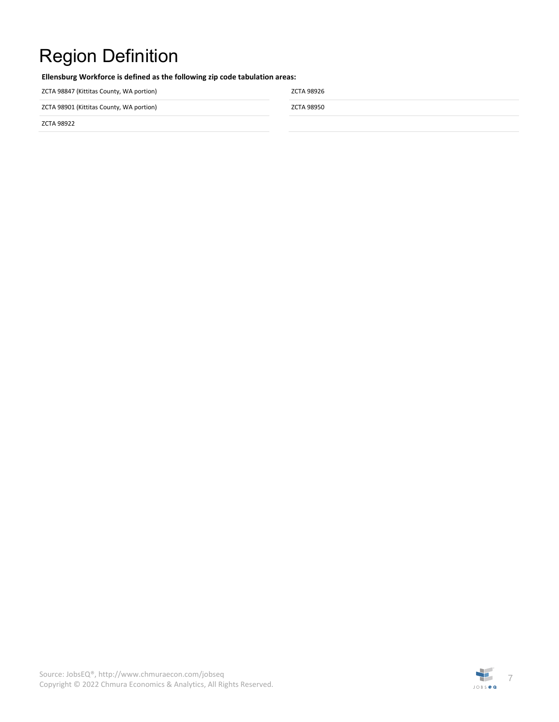# <span id="page-6-0"></span>Region Definition

**Ellensburg Workforce is defined as the following zip code tabulation areas:**

ZCTA 98847 (Kittitas County, WA portion) ZCTA 98926

ZCTA 98901 (Kittitas County, WA portion) and the control of the control of the control of the control of the control of the control of the control of the control of the control of the control of the control of the control

ZCTA 98922